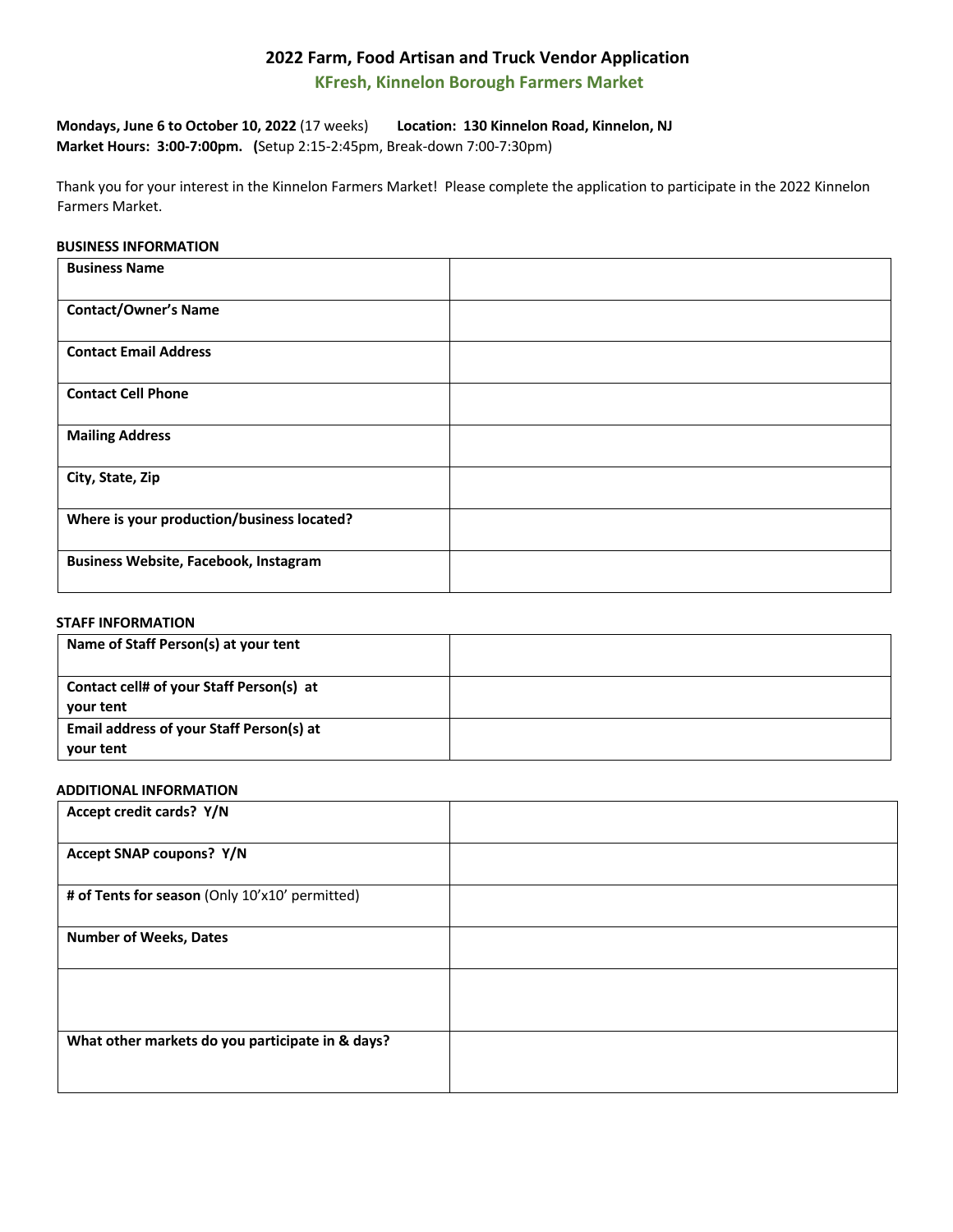# **2022 Farm, Food Artisan and Truck Vendor Application**

 **KFresh, Kinnelon Borough Farmers Market**

**Mondays, June 6 to October 10, 2022** (17 weeks) **Location: 130 Kinnelon Road, Kinnelon, NJ Market Hours: 3:00-7:00pm. (**Setup 2:15-2:45pm, Break-down 7:00-7:30pm)

Thank you for your interest in the Kinnelon Farmers Market! Please complete the application to participate in the 2022 Kinnelon Farmers Market.

#### **BUSINESS INFORMATION**

| <b>Business Name</b>                         |  |
|----------------------------------------------|--|
| <b>Contact/Owner's Name</b>                  |  |
| <b>Contact Email Address</b>                 |  |
| <b>Contact Cell Phone</b>                    |  |
| <b>Mailing Address</b>                       |  |
| City, State, Zip                             |  |
| Where is your production/business located?   |  |
| <b>Business Website, Facebook, Instagram</b> |  |

## **STAFF INFORMATION**

| Name of Staff Person(s) at your tent                  |  |
|-------------------------------------------------------|--|
| Contact cell# of your Staff Person(s) at<br>your tent |  |
| Email address of your Staff Person(s) at<br>your tent |  |

## **ADDITIONAL INFORMATION**

| Accept credit cards? Y/N                         |  |
|--------------------------------------------------|--|
| Accept SNAP coupons? Y/N                         |  |
| # of Tents for season (Only 10'x10' permitted)   |  |
| <b>Number of Weeks, Dates</b>                    |  |
|                                                  |  |
| What other markets do you participate in & days? |  |